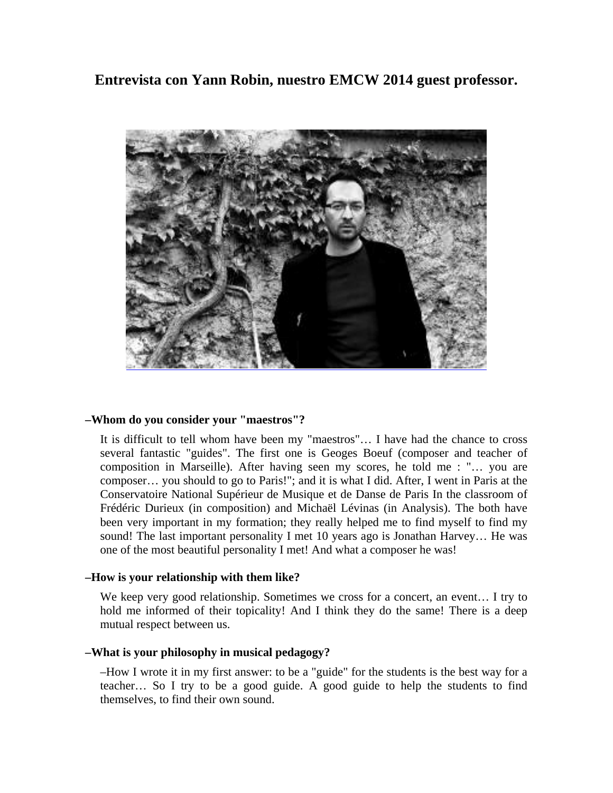**Entrevista con Yann Robin, nuestro EMCW 2014 guest professor.** 



# **–Whom do you consider your "maestros"?**

It is difficult to tell whom have been my "maestros"… I have had the chance to cross several fantastic "guides". The first one is Geoges Boeuf (composer and teacher of composition in Marseille). After having seen my scores, he told me : "… you are composer… you should to go to Paris!"; and it is what I did. After, I went in Paris at the Conservatoire National Supérieur de Musique et de Danse de Paris In the classroom of Frédéric Durieux (in composition) and Michaël Lévinas (in Analysis). The both have been very important in my formation; they really helped me to find myself to find my sound! The last important personality I met 10 years ago is Jonathan Harvey… He was one of the most beautiful personality I met! And what a composer he was!

# **–How is your relationship with them like?**

We keep very good relationship. Sometimes we cross for a concert, an event… I try to hold me informed of their topicality! And I think they do the same! There is a deep mutual respect between us.

# **–What is your philosophy in musical pedagogy?**

–How I wrote it in my first answer: to be a "guide" for the students is the best way for a teacher… So I try to be a good guide. A good guide to help the students to find themselves, to find their own sound.